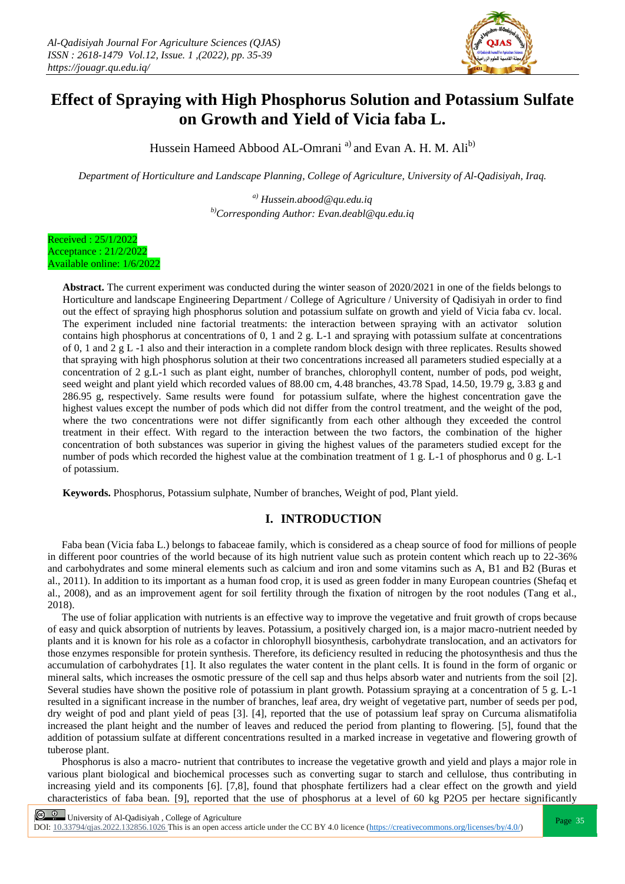

# **Effect of Spraying with High Phosphorus Solution and Potassium Sulfate on Growth and Yield of Vicia faba L.**

Hussein Hameed Abbood AL-Omrani<sup>a)</sup> and Evan A. H. M. Ali<sup>b)</sup>

*Department of Horticulture and Landscape Planning, College of Agriculture, University of Al-Qadisiyah, Iraq.*

*a) [Hussein.abood@qu.edu.iq](mailto:Hussein.abood@qu.edu.iq) b)Corresponding Author: Evan.deabl@qu.edu.iq*

Received : 25/1/2022 Acceptance : 21/2/2022 Available online: 1/6/2022

> **Abstract.** The current experiment was conducted during the winter season of 2020/2021 in one of the fields belongs to Horticulture and landscape Engineering Department / College of Agriculture / University of Qadisiyah in order to find out the effect of spraying high phosphorus solution and potassium sulfate on growth and yield of Vicia faba cv. local. The experiment included nine factorial treatments: the interaction between spraying with an activator solution contains high phosphorus at concentrations of 0, 1 and 2 g. L-1 and spraying with potassium sulfate at concentrations of 0, 1 and 2 g L -1 also and their interaction in a complete random block design with three replicates. Results showed that spraying with high phosphorus solution at their two concentrations increased all parameters studied especially at a concentration of 2 g.L-1 such as plant eight, number of branches, chlorophyll content, number of pods, pod weight, seed weight and plant yield which recorded values of 88.00 cm, 4.48 branches, 43.78 Spad, 14.50, 19.79 g, 3.83 g and 286.95 g, respectively. Same results were found for potassium sulfate, where the highest concentration gave the highest values except the number of pods which did not differ from the control treatment, and the weight of the pod, where the two concentrations were not differ significantly from each other although they exceeded the control treatment in their effect. With regard to the interaction between the two factors, the combination of the higher concentration of both substances was superior in giving the highest values of the parameters studied except for the number of pods which recorded the highest value at the combination treatment of 1 g. L-1 of phosphorus and 0 g. L-1 of potassium.

**Keywords.** Phosphorus, Potassium sulphate, Number of branches, Weight of pod, Plant yield.

## **I. INTRODUCTION**

Faba bean (Vicia faba L.) belongs to fabaceae family, which is considered as a cheap source of food for millions of people in different poor countries of the world because of its high nutrient value such as protein content which reach up to 22-36% and carbohydrates and some mineral elements such as calcium and iron and some vitamins such as A, B1 and B2 (Buras et al., 2011). In addition to its important as a human food crop, it is used as green fodder in many European countries (Shefaq et al., 2008), and as an improvement agent for soil fertility through the fixation of nitrogen by the root nodules (Tang et al., 2018).

The use of foliar application with nutrients is an effective way to improve the vegetative and fruit growth of crops because of easy and quick absorption of nutrients by leaves. Potassium, a positively charged ion, is a major macro-nutrient needed by plants and it is known for his role as a cofactor in chlorophyll biosynthesis, carbohydrate translocation, and an activators for those enzymes responsible for protein synthesis. Therefore, its deficiency resulted in reducing the photosynthesis and thus the accumulation of carbohydrates [1]. It also regulates the water content in the plant cells. It is found in the form of organic or mineral salts, which increases the osmotic pressure of the cell sap and thus helps absorb water and nutrients from the soil [2]. Several studies have shown the positive role of potassium in plant growth. Potassium spraying at a concentration of 5 g. L-1 resulted in a significant increase in the number of branches, leaf area, dry weight of vegetative part, number of seeds per pod, dry weight of pod and plant yield of peas [3]. [4], reported that the use of potassium leaf spray on Curcuma alismatifolia increased the plant height and the number of leaves and reduced the period from planting to flowering. [5], found that the addition of potassium sulfate at different concentrations resulted in a marked increase in vegetative and flowering growth of tuberose plant.

Phosphorus is also a macro- nutrient that contributes to increase the vegetative growth and yield and plays a major role in various plant biological and biochemical processes such as converting sugar to starch and cellulose, thus contributing in increasing yield and its components [6]. [7,8], found that phosphate fertilizers had a clear effect on the growth and yield characteristics of faba bean. [9], reported that the use of phosphorus at a level of 60 kg P2O5 per hectare significantly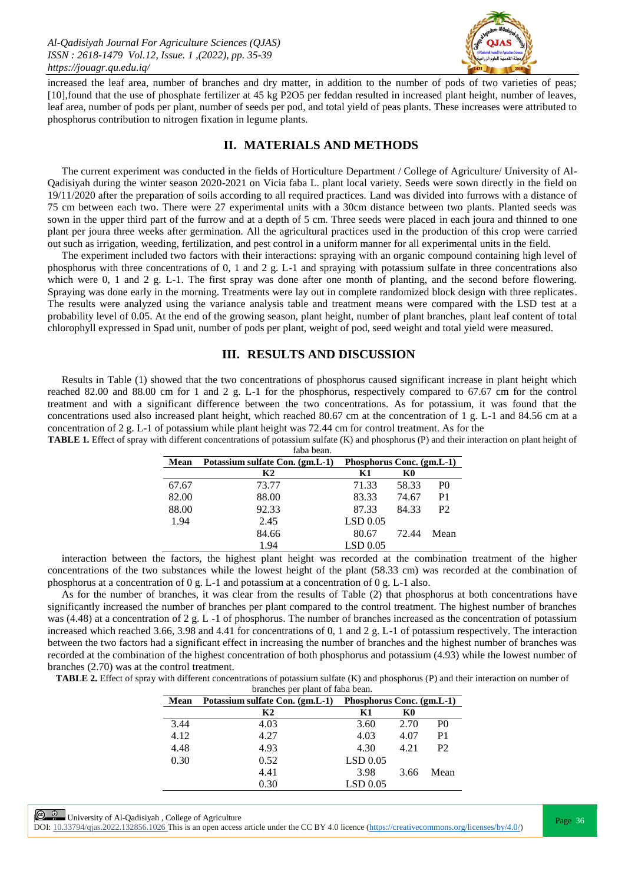

increased the leaf area, number of branches and dry matter, in addition to the number of pods of two varieties of peas; [10],found that the use of phosphate fertilizer at 45 kg P2O5 per feddan resulted in increased plant height, number of leaves, leaf area, number of pods per plant, number of seeds per pod, and total yield of peas plants. These increases were attributed to phosphorus contribution to nitrogen fixation in legume plants.

## **II. MATERIALS AND METHODS**

The current experiment was conducted in the fields of Horticulture Department / College of Agriculture/ University of Al-Qadisiyah during the winter season 2020-2021 on Vicia faba L. plant local variety. Seeds were sown directly in the field on 19/11/2020 after the preparation of soils according to all required practices. Land was divided into furrows with a distance of 75 cm between each two. There were 27 experimental units with a 30cm distance between two plants. Planted seeds was sown in the upper third part of the furrow and at a depth of 5 cm. Three seeds were placed in each joura and thinned to one plant per joura three weeks after germination. All the agricultural practices used in the production of this crop were carried out such as irrigation, weeding, fertilization, and pest control in a uniform manner for all experimental units in the field.

The experiment included two factors with their interactions: spraying with an organic compound containing high level of phosphorus with three concentrations of 0, 1 and 2 g. L-1 and spraying with potassium sulfate in three concentrations also which were 0, 1 and 2 g. L-1. The first spray was done after one month of planting, and the second before flowering. Spraying was done early in the morning. Treatments were lay out in complete randomized block design with three replicates. The results were analyzed using the variance analysis table and treatment means were compared with the LSD test at a probability level of 0.05. At the end of the growing season, plant height, number of plant branches, plant leaf content of total chlorophyll expressed in Spad unit, number of pods per plant, weight of pod, seed weight and total yield were measured.

#### **III. RESULTS AND DISCUSSION**

Results in Table (1) showed that the two concentrations of phosphorus caused significant increase in plant height which reached 82.00 and 88.00 cm for 1 and 2 g. L-1 for the phosphorus, respectively compared to 67.67 cm for the control treatment and with a significant difference between the two concentrations. As for potassium, it was found that the concentrations used also increased plant height, which reached 80.67 cm at the concentration of 1 g. L-1 and 84.56 cm at a concentration of 2 g. L-1 of potassium while plant height was 72.44 cm for control treatment. As for the **TABLE 1.** Effect of spray with different concentrations of potassium sulfate (K) and phosphorus (P) and their interaction on plant height of

|       | faba bean.                      |                           |       |                |
|-------|---------------------------------|---------------------------|-------|----------------|
| Mean  | Potassium sulfate Con. (gm.L-1) | Phosphorus Conc. (gm.L-1) |       |                |
|       | K <sub>2</sub>                  | Κ1                        | K0    |                |
| 67.67 | 73.77                           | 71.33                     | 58.33 | P <sub>0</sub> |
| 82.00 | 88.00                           | 83.33                     | 74.67 | P <sub>1</sub> |
| 88.00 | 92.33                           | 87.33                     | 84.33 | P2             |
| 1.94  | 2.45                            | LSD 0.05                  |       |                |
|       | 84.66                           | 80.67                     | 72.44 | Mean           |
|       | 1.94                            | LSD 0.05                  |       |                |

interaction between the factors, the highest plant height was recorded at the combination treatment of the higher concentrations of the two substances while the lowest height of the plant (58.33 cm) was recorded at the combination of phosphorus at a concentration of 0 g. L-1 and potassium at a concentration of 0 g. L-1 also.

As for the number of branches, it was clear from the results of Table (2) that phosphorus at both concentrations have significantly increased the number of branches per plant compared to the control treatment. The highest number of branches was (4.48) at a concentration of 2 g. L -1 of phosphorus. The number of branches increased as the concentration of potassium increased which reached 3.66, 3.98 and 4.41 for concentrations of 0, 1 and 2 g. L-1 of potassium respectively. The interaction between the two factors had a significant effect in increasing the number of branches and the highest number of branches was recorded at the combination of the highest concentration of both phosphorus and potassium (4.93) while the lowest number of branches (2.70) was at the control treatment.

**TABLE 2.** Effect of spray with different concentrations of potassium sulfate (K) and phosphorus (P) and their interaction on number of branches per plant of faba bean.

| Mean | Potassium sulfate Con. (gm.L-1) | Phosphorus Conc. (gm.L-1) |      |                |
|------|---------------------------------|---------------------------|------|----------------|
|      | K2                              | Κ1                        | K0   |                |
| 3.44 | 4.03                            | 3.60                      | 2.70 | P <sub>0</sub> |
| 4.12 | 4.27                            | 4.03                      | 4.07 | P <sub>1</sub> |
| 4.48 | 4.93                            | 4.30                      | 4.21 | P <sub>2</sub> |
| 0.30 | 0.52                            | $LSD$ 0.05                |      |                |
|      | 4.41                            | 3.98                      | 3.66 | Mean           |
|      | 0.30                            | $LSD$ 0.05                |      |                |

**Page 36**<br>Page 36

DOI:  $10.33794/q$ jas.2022.132856.1026 This is an open access article under the CC BY 4.0 licence (https://creativecommons.org/licenses/by/4.0/)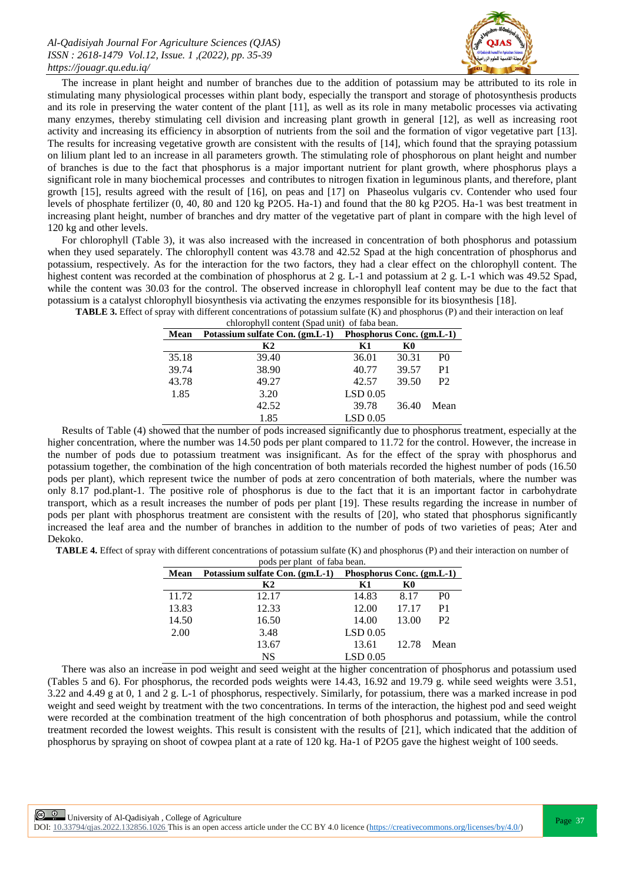

The increase in plant height and number of branches due to the addition of potassium may be attributed to its role in stimulating many physiological processes within plant body, especially the transport and storage of photosynthesis products and its role in preserving the water content of the plant [11], as well as its role in many metabolic processes via activating many enzymes, thereby stimulating cell division and increasing plant growth in general [12], as well as increasing root activity and increasing its efficiency in absorption of nutrients from the soil and the formation of vigor vegetative part [13]. The results for increasing vegetative growth are consistent with the results of [14], which found that the spraying potassium on lilium plant led to an increase in all parameters growth. The stimulating role of phosphorous on plant height and number of branches is due to the fact that phosphorus is a major important nutrient for plant growth, where phosphorus plays a significant role in many biochemical processes and contributes to nitrogen fixation in leguminous plants, and therefore, plant growth [15], results agreed with the result of [16], on peas and [17] on Phaseolus vulgaris cv. Contender who used four levels of phosphate fertilizer (0, 40, 80 and 120 kg P2O5. Ha-1) and found that the 80 kg P2O5. Ha-1 was best treatment in increasing plant height, number of branches and dry matter of the vegetative part of plant in compare with the high level of 120 kg and other levels.

For chlorophyll (Table 3), it was also increased with the increased in concentration of both phosphorus and potassium when they used separately. The chlorophyll content was 43.78 and 42.52 Spad at the high concentration of phosphorus and potassium, respectively. As for the interaction for the two factors, they had a clear effect on the chlorophyll content. The highest content was recorded at the combination of phosphorus at 2 g. L-1 and potassium at 2 g. L-1 which was 49.52 Spad, while the content was 30.03 for the control. The observed increase in chlorophyll leaf content may be due to the fact that potassium is a catalyst chlorophyll biosynthesis via activating the enzymes responsible for its biosynthesis [18].

| chlorophyll content (Spad unit) of faba bean. |                                 |                           |       |                |
|-----------------------------------------------|---------------------------------|---------------------------|-------|----------------|
| Mean                                          | Potassium sulfate Con. (gm.L-1) | Phosphorus Conc. (gm.L-1) |       |                |
|                                               | К2                              | K1                        | K0    |                |
| 35.18                                         | 39.40                           | 36.01                     | 30.31 | P <sub>0</sub> |
| 39.74                                         | 38.90                           | 40.77                     | 39.57 | P <sub>1</sub> |
| 43.78                                         | 49.27                           | 42.57                     | 39.50 | P <sub>2</sub> |
| 1.85                                          | 3.20                            | LSD 0.05                  |       |                |
|                                               | 42.52                           | 39.78                     | 36.40 | Mean           |
|                                               | 1.85                            | LSD 0.05                  |       |                |

**TABLE 3.** Effect of spray with different concentrations of potassium sulfate (K) and phosphorus (P) and their interaction on leaf chlorophyll content (Spad unit) of faba bean.

Results of Table (4) showed that the number of pods increased significantly due to phosphorus treatment, especially at the higher concentration, where the number was 14.50 pods per plant compared to 11.72 for the control. However, the increase in the number of pods due to potassium treatment was insignificant. As for the effect of the spray with phosphorus and potassium together, the combination of the high concentration of both materials recorded the highest number of pods (16.50 pods per plant), which represent twice the number of pods at zero concentration of both materials, where the number was only 8.17 pod.plant-1. The positive role of phosphorus is due to the fact that it is an important factor in carbohydrate transport, which as a result increases the number of pods per plant [19]. These results regarding the increase in number of pods per plant with phosphorus treatment are consistent with the results of [20], who stated that phosphorus significantly increased the leaf area and the number of branches in addition to the number of pods of two varieties of peas; Ater and Dekoko.

**TABLE 4.** Effect of spray with different concentrations of potassium sulfate (K) and phosphorus (P) and their interaction on number of

| pods per plant of faba bean. |                                                           |            |       |                |
|------------------------------|-----------------------------------------------------------|------------|-------|----------------|
| Mean                         | Potassium sulfate Con. (gm.L-1) Phosphorus Conc. (gm.L-1) |            |       |                |
|                              | K2                                                        | K1         | K0    |                |
| 11.72                        | 12.17                                                     | 14.83      | 8.17  | P <sub>0</sub> |
| 13.83                        | 12.33                                                     | 12.00      | 17.17 | P <sub>1</sub> |
| 14.50                        | 16.50                                                     | 14.00      | 13.00 | P <sub>2</sub> |
| 2.00                         | 3.48                                                      | LSD 0.05   |       |                |
|                              | 13.67                                                     | 13.61      | 12.78 | Mean           |
|                              | NS                                                        | $LSD$ 0.05 |       |                |

There was also an increase in pod weight and seed weight at the higher concentration of phosphorus and potassium used (Tables 5 and 6). For phosphorus, the recorded pods weights were 14.43, 16.92 and 19.79 g. while seed weights were 3.51, 3.22 and 4.49 g at 0, 1 and 2 g. L-1 of phosphorus, respectively. Similarly, for potassium, there was a marked increase in pod weight and seed weight by treatment with the two concentrations. In terms of the interaction, the highest pod and seed weight were recorded at the combination treatment of the high concentration of both phosphorus and potassium, while the control treatment recorded the lowest weights. This result is consistent with the results of [21], which indicated that the addition of phosphorus by spraying on shoot of cowpea plant at a rate of 120 kg. Ha-1 of P2O5 gave the highest weight of 100 seeds.

DOI:  $10.33794/q$ jas.2022.132856.1026 This is an open access article under the CC BY 4.0 licence (https://creativecommons.org/licenses/by/4.0/)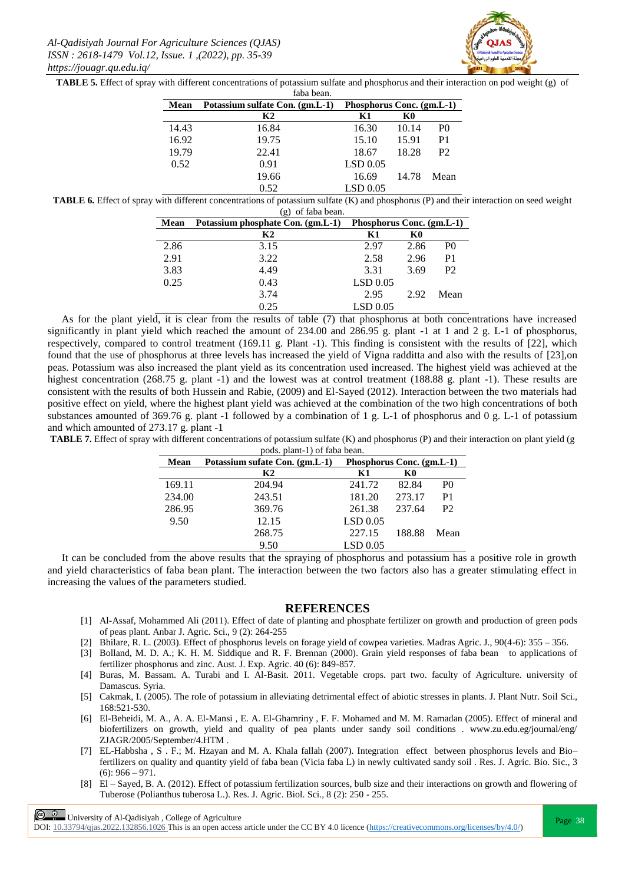

**TABLE 5.** Effect of spray with different concentrations of potassium sulfate and phosphorus and their interaction on pod weight (g) of  $f$ aha ba

|       | rava oean.                      |                           |       |                |
|-------|---------------------------------|---------------------------|-------|----------------|
| Mean  | Potassium sulfate Con. (gm.L-1) | Phosphorus Conc. (gm.L-1) |       |                |
|       | K2                              | K1                        | K0    |                |
| 14.43 | 16.84                           | 16.30                     | 10.14 | P <sub>0</sub> |
| 16.92 | 19.75                           | 15.10                     | 15.91 | P <sub>1</sub> |
| 19.79 | 22.41                           | 18.67                     | 18.28 | P <sub>2</sub> |
| 0.52  | 0.91                            | LSD 0.05                  |       |                |
|       | 19.66                           | 16.69                     | 14.78 | Mean           |
|       | 0.52                            | LSD 0.05                  |       |                |
|       |                                 |                           |       |                |

**TABLE 6.** Effect of spray with different concentrations of potassium sulfate (K) and phosphorus (P) and their interaction on seed weight  $(a)$  of faba bear.

| Mean | Potassium phosphate Con. (gm.L-1) | Phosphorus Conc. (gm.L-1) |      |                |
|------|-----------------------------------|---------------------------|------|----------------|
|      | K2                                | Κ1                        | K0   |                |
| 2.86 | 3.15                              | 2.97                      | 2.86 | P <sub>0</sub> |
| 2.91 | 3.22                              | 2.58                      | 2.96 | P1             |
| 3.83 | 4.49                              | 3.31                      | 3.69 | P <sub>2</sub> |
| 0.25 | 0.43                              | LSD 0.05                  |      |                |
|      | 3.74                              | 2.95                      | 2.92 | Mean           |
|      | 0.25                              | LSD 0.05                  |      |                |

As for the plant yield, it is clear from the results of table (7) that phosphorus at both concentrations have increased significantly in plant yield which reached the amount of 234.00 and 286.95 g. plant -1 at 1 and 2 g. L-1 of phosphorus, respectively, compared to control treatment (169.11 g. Plant -1). This finding is consistent with the results of [22], which found that the use of phosphorus at three levels has increased the yield of Vigna radditta and also with the results of [23],on peas. Potassium was also increased the plant yield as its concentration used increased. The highest yield was achieved at the highest concentration (268.75 g. plant -1) and the lowest was at control treatment (188.88 g. plant -1). These results are consistent with the results of both Hussein and Rabie, (2009) and El-Sayed (2012). Interaction between the two materials had positive effect on yield, where the highest plant yield was achieved at the combination of the two high concentrations of both substances amounted of 369.76 g. plant -1 followed by a combination of 1 g. L-1 of phosphorus and 0 g. L-1 of potassium and which amounted of 273.17 g. plant -1

**TABLE 7.** Effect of spray with different concentrations of potassium sulfate (K) and phosphorus (P) and their interaction on plant yield (g pods. plant-1) of faba bean.

| Mean   | Potassium sufate Con. (gm.L-1) | Phosphorus Conc. (gm.L-1) |        |                |
|--------|--------------------------------|---------------------------|--------|----------------|
|        | К2                             | Κ1                        | K0     |                |
| 169.11 | 204.94                         | 241.72                    | 82.84  | P <sub>0</sub> |
| 234.00 | 243.51                         | 181.20                    | 273.17 | P <sub>1</sub> |
| 286.95 | 369.76                         | 261.38                    | 237.64 | P <sub>2</sub> |
| 9.50   | 12.15                          | $LSD$ 0.05                |        |                |
|        | 268.75                         | 227.15                    | 188.88 | Mean           |
|        | 9.50                           | LSD 0.05                  |        |                |

It can be concluded from the above results that the spraying of phosphorus and potassium has a positive role in growth and yield characteristics of faba bean plant. The interaction between the two factors also has a greater stimulating effect in increasing the values of the parameters studied.

#### **REFERENCES**

- [1] Al-Assaf, Mohammed Ali (2011). Effect of date of planting and phosphate fertilizer on growth and production of green pods of peas plant. Anbar J. Agric. Sci., 9 (2): 264-255
- [2] Bhilare, R. L. (2003). Effect of phosphorus levels on forage yield of cowpea varieties. Madras Agric. J., 90(4-6): 355 356.
- [3] Bolland, M. D. A.; K. H. M. Siddique and R. F. Brennan (2000). Grain yield responses of faba bean to applications of fertilizer phosphorus and zinc. Aust. J. Exp. Agric. 40 (6): 849-857.
- [4] Buras, M. Bassam. A. Turabi and I. Al-Basit. 2011. Vegetable crops. part two. faculty of Agriculture. university of Damascus. Syria.
- [5] Cakmak, I. (2005). The role of potassium in alleviating detrimental effect of abiotic stresses in plants. J. Plant Nutr. Soil Sci., 168:521-530.
- [6] El-Beheidi, M. A., A. A. El-Mansi , E. A. El-Ghamriny , F. F. Mohamed and M. M. Ramadan (2005). Effect of mineral and biofertilizers on growth, yield and quality of pea plants under sandy soil conditions . www.zu.edu.eg/journal/eng/ ZJAGR/2005/September/4.HTM .
- [7] EL-Habbsha , S . F.; M. Hzayan and M. A. Khala fallah (2007). Integration effect between phosphorus levels and Bio– fertilizers on quality and quantity yield of faba bean (Vicia faba L) in newly cultivated sandy soil . Res. J. Agric. Bio. Sic., 3  $(6)$ : 966 – 971.
- [8] El Sayed, B. A. (2012). Effect of potassium fertilization sources, bulb size and their interactions on growth and flowering of Tuberose (Polianthus tuberosa L.). Res. J. Agric. Biol. Sci., 8 (2): 250 - 255.

 $\frac{\odot}{\odot}$  University of Al-Qadisiyah, College of Agriculture

DOI:  $10.33794/q$ jas.2022.132856.1026 This is an open access article under the CC BY 4.0 licence (https://creativecommons.org/licenses/by/4.0/)